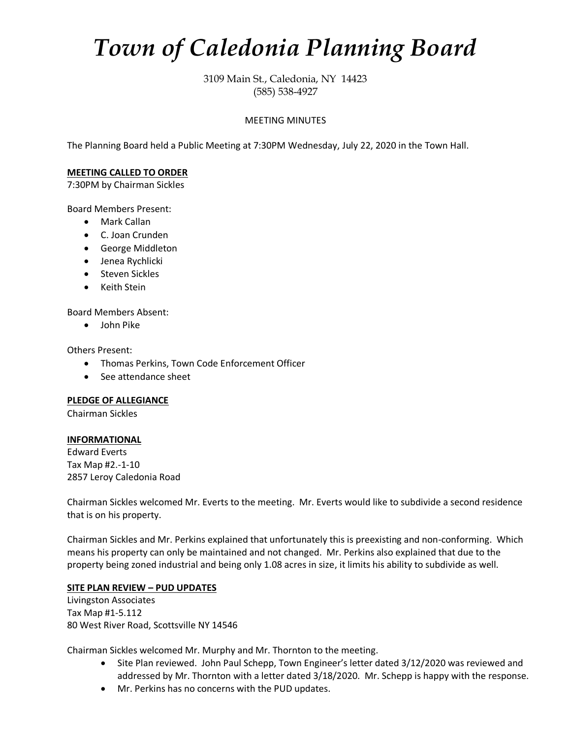# *Town of Caledonia Planning Board*

3109 Main St., Caledonia, NY 14423 (585) 538-4927

## MEETING MINUTES

The Planning Board held a Public Meeting at 7:30PM Wednesday, July 22, 2020 in the Town Hall.

## **MEETING CALLED TO ORDER**

7:30PM by Chairman Sickles

Board Members Present:

- Mark Callan
- C. Joan Crunden
- George Middleton
- Jenea Rychlicki
- Steven Sickles
- Keith Stein

Board Members Absent:

• John Pike

Others Present:

- Thomas Perkins, Town Code Enforcement Officer
- See attendance sheet

## **PLEDGE OF ALLEGIANCE**

Chairman Sickles

## **INFORMATIONAL**

Edward Everts Tax Map #2.-1-10 2857 Leroy Caledonia Road

Chairman Sickles welcomed Mr. Everts to the meeting. Mr. Everts would like to subdivide a second residence that is on his property.

Chairman Sickles and Mr. Perkins explained that unfortunately this is preexisting and non-conforming. Which means his property can only be maintained and not changed. Mr. Perkins also explained that due to the property being zoned industrial and being only 1.08 acres in size, it limits his ability to subdivide as well.

# **SITE PLAN REVIEW – PUD UPDATES**

Livingston Associates Tax Map #1-5.112 80 West River Road, Scottsville NY 14546

Chairman Sickles welcomed Mr. Murphy and Mr. Thornton to the meeting.

- Site Plan reviewed. John Paul Schepp, Town Engineer's letter dated 3/12/2020 was reviewed and addressed by Mr. Thornton with a letter dated 3/18/2020. Mr. Schepp is happy with the response.
- Mr. Perkins has no concerns with the PUD updates.